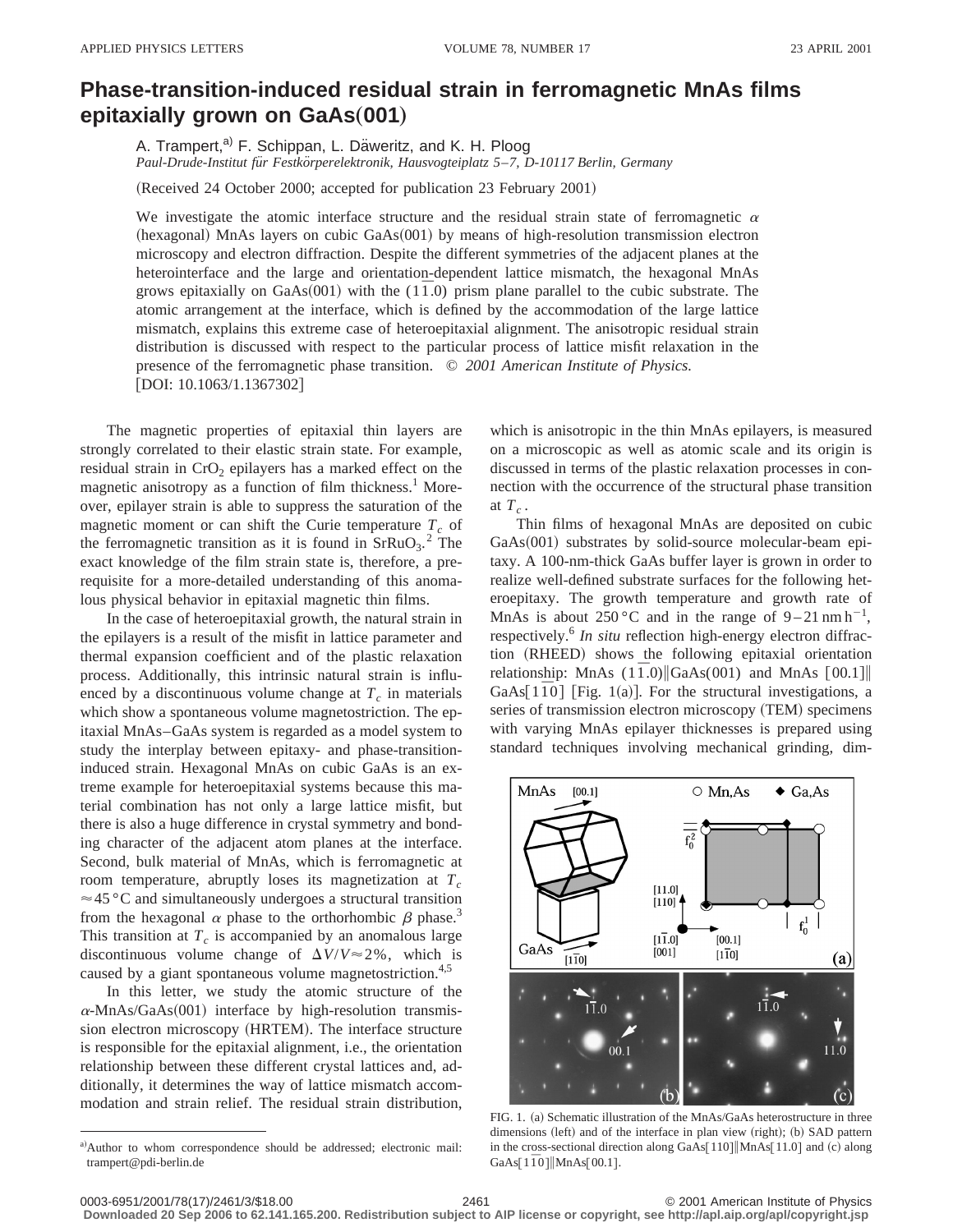## **Phase-transition-induced residual strain in ferromagnetic MnAs films epitaxially grown on GaAs(001)**

A. Trampert,<sup>a)</sup> F. Schippan, L. Däweritz, and K. H. Ploog *Paul-Drude-Institut fu¨r Festko¨rperelektronik, Hausvogteiplatz 5*–*7, D-10117 Berlin, Germany*

(Received 24 October 2000; accepted for publication 23 February 2001)

We investigate the atomic interface structure and the residual strain state of ferromagnetic  $\alpha$  $(hexagonal)$  MnAs layers on cubic  $GaAs(001)$  by means of high-resolution transmission electron microscopy and electron diffraction. Despite the different symmetries of the adjacent planes at the heterointerface and the large and orientation-dependent lattice mismatch, the hexagonal MnAs grows epitaxially on  $GaAs(001)$  with the  $(1\bar{1}0)$  prism plane parallel to the cubic substrate. The atomic arrangement at the interface, which is defined by the accommodation of the large lattice mismatch, explains this extreme case of heteroepitaxial alignment. The anisotropic residual strain distribution is discussed with respect to the particular process of lattice misfit relaxation in the presence of the ferromagnetic phase transition. © *2001 American Institute of Physics.*  $[DOI: 10.1063/1.1367302]$ 

The magnetic properties of epitaxial thin layers are strongly correlated to their elastic strain state. For example, residual strain in CrO<sub>2</sub> epilayers has a marked effect on the magnetic anisotropy as a function of film thickness.<sup>1</sup> Moreover, epilayer strain is able to suppress the saturation of the magnetic moment or can shift the Curie temperature  $T_c$  of the ferromagnetic transition as it is found in  $SFRuO<sub>3</sub>$ .<sup>2</sup> The exact knowledge of the film strain state is, therefore, a prerequisite for a more-detailed understanding of this anomalous physical behavior in epitaxial magnetic thin films.

In the case of heteroepitaxial growth, the natural strain in the epilayers is a result of the misfit in lattice parameter and thermal expansion coefficient and of the plastic relaxation process. Additionally, this intrinsic natural strain is influenced by a discontinuous volume change at  $T_c$  in materials which show a spontaneous volume magnetostriction. The epitaxial MnAs–GaAs system is regarded as a model system to study the interplay between epitaxy- and phase-transitioninduced strain. Hexagonal MnAs on cubic GaAs is an extreme example for heteroepitaxial systems because this material combination has not only a large lattice misfit, but there is also a huge difference in crystal symmetry and bonding character of the adjacent atom planes at the interface. Second, bulk material of MnAs, which is ferromagnetic at room temperature, abruptly loses its magnetization at  $T_c$  $\approx$  45 °C and simultaneously undergoes a structural transition from the hexagonal  $\alpha$  phase to the orthorhombic  $\beta$  phase.<sup>3</sup> This transition at  $T_c$  is accompanied by an anomalous large discontinuous volume change of  $\Delta V/V \approx 2\%$ , which is caused by a giant spontaneous volume magnetostriction.<sup>4,5</sup>

In this letter, we study the atomic structure of the  $\alpha$ -MnAs/GaAs(001) interface by high-resolution transmission electron microscopy (HRTEM). The interface structure is responsible for the epitaxial alignment, i.e., the orientation relationship between these different crystal lattices and, additionally, it determines the way of lattice mismatch accommodation and strain relief. The residual strain distribution, which is anisotropic in the thin MnAs epilayers, is measured on a microscopic as well as atomic scale and its origin is discussed in terms of the plastic relaxation processes in connection with the occurrence of the structural phase transition at  $T_c$ .

Thin films of hexagonal MnAs are deposited on cubic  $GaAs(001)$  substrates by solid-source molecular-beam epitaxy. A 100-nm-thick GaAs buffer layer is grown in order to realize well-defined substrate surfaces for the following heteroepitaxy. The growth temperature and growth rate of MnAs is about 250 °C and in the range of  $9-21$  nm h<sup>-1</sup>, respectively.<sup>6</sup> *In situ* reflection high-energy electron diffraction (RHEED) shows the following epitaxial orientation relationship: MnAs  $(1\bar{1} \cdot 0)$  GaAs $(001)$  and MnAs  $[00.1]$ GaAs $[1\overline{1}0]$  [Fig. 1(a)]. For the structural investigations, a series of transmission electron microscopy (TEM) specimens with varying MnAs epilayer thicknesses is prepared using standard techniques involving mechanical grinding, dim-



FIG. 1. (a) Schematic illustration of the MnAs/GaAs heterostructure in three dimensions (left) and of the interface in plan view (right); (b) SAD pattern in the cross-sectional direction along GaAs[ $110$ ] |MnAs[ $11.0$ ] and (c) along GaAs[1<sup> $\overline{1}0$ ]|MnAs[00.1].</sup>

**Downloaded 20 Sep 2006 to 62.141.165.200. Redistribution subject to AIP license or copyright, see http://apl.aip.org/apl/copyright.jsp**

a)Author to whom correspondence should be addressed; electronic mail: trampert@pdi-berlin.de

<sup>0003-6951/2001/78(17)/2461/3/\$18.00 2061 2461 2461 22001 22001 22001 20003-6951/2001/78(17)/2461/3/\$18.00</sup>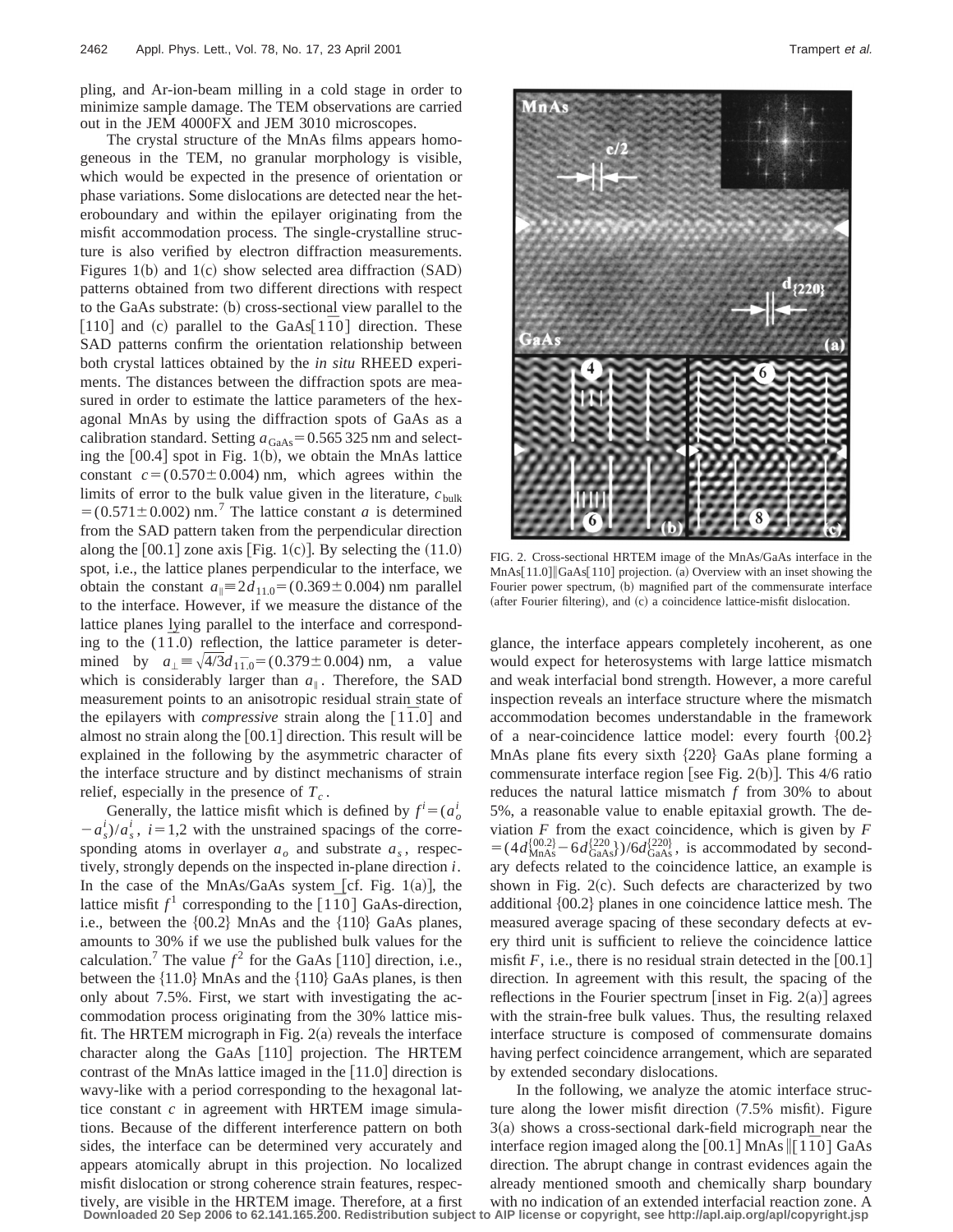pling, and Ar-ion-beam milling in a cold stage in order to minimize sample damage. The TEM observations are carried out in the JEM 4000FX and JEM 3010 microscopes.

The crystal structure of the MnAs films appears homogeneous in the TEM, no granular morphology is visible, which would be expected in the presence of orientation or phase variations. Some dislocations are detected near the heteroboundary and within the epilayer originating from the misfit accommodation process. The single-crystalline structure is also verified by electron diffraction measurements. Figures 1(b) and 1(c) show selected area diffraction  $(SAD)$ patterns obtained from two different directions with respect to the GaAs substrate: (b) cross-sectional view parallel to the  $\lceil 110 \rceil$  and (c) parallel to the GaAs $\lceil 1\bar{1}0 \rceil$  direction. These SAD patterns confirm the orientation relationship between both crystal lattices obtained by the *in situ* RHEED experiments. The distances between the diffraction spots are measured in order to estimate the lattice parameters of the hexagonal MnAs by using the diffraction spots of GaAs as a calibration standard. Setting  $a_{GaAs} = 0.565325$  nm and selecting the  $[00.4]$  spot in Fig. 1(b), we obtain the MnAs lattice constant  $c = (0.570 \pm 0.004)$  nm, which agrees within the limits of error to the bulk value given in the literature,  $c_{\text{bulk}}$  $=$  (0.571 $\pm$ 0.002) nm.<sup>7</sup> The lattice constant *a* is determined from the SAD pattern taken from the perpendicular direction along the  $[00.1]$  zone axis [Fig. 1(c)]. By selecting the  $(11.0)$ spot, i.e., the lattice planes perpendicular to the interface, we obtain the constant  $a_{\parallel} \equiv 2d_{11.0} = (0.369 \pm 0.004)$  nm parallel to the interface. However, if we measure the distance of the lattice planes lying parallel to the interface and corresponding to the  $(1\bar{1}.0)$  reflection, the lattice parameter is determined by  $a_{\perp} = \sqrt{4/3} d_{1,1,0} = (0.379 \pm 0.004) \text{ nm}$ , a value which is considerably larger than  $a_{\parallel}$ . Therefore, the SAD measurement points to an anisotropic residual strain state of the epilayers with *compressive* strain along the  $\lceil 1\overline{1} \cdot 0 \rceil$  and almost no strain along the  $[00.1]$  direction. This result will be explained in the following by the asymmetric character of the interface structure and by distinct mechanisms of strain relief, especially in the presence of  $T_c$ .

Generally, the lattice misfit which is defined by  $f^i = (a^i)$  $-a_s^i/a_s^i$ ,  $i=1,2$  with the unstrained spacings of the corresponding atoms in overlayer  $a<sub>o</sub>$  and substrate  $a<sub>s</sub>$ , respectively, strongly depends on the inspected in-plane direction *i*. In the case of the MnAs/GaAs system [cf. Fig. 1(a)], the lattice misfit  $f^1$  corresponding to the  $\lceil 1\bar{1}0 \rceil$  GaAs-direction, i.e., between the  ${00.2}$  MnAs and the  ${110}$  GaAs planes, amounts to 30% if we use the published bulk values for the calculation.<sup>7</sup> The value  $f^2$  for the GaAs [110] direction, i.e., between the  $\{11.0\}$  MnAs and the  $\{110\}$  GaAs planes, is then only about 7.5%. First, we start with investigating the accommodation process originating from the 30% lattice misfit. The HRTEM micrograph in Fig.  $2(a)$  reveals the interface character along the GaAs  $[110]$  projection. The HRTEM contrast of the MnAs lattice imaged in the  $[11.0]$  direction is wavy-like with a period corresponding to the hexagonal lattice constant *c* in agreement with HRTEM image simulations. Because of the different interference pattern on both sides, the interface can be determined very accurately and appears atomically abrupt in this projection. No localized misfit dislocation or strong coherence strain features, respectively, are visible in the HRTEM image. Therefore, at a first **Downloaded 20 Sep 2006 to 62.141.165.200. Redistribution subject to AIP license or copyright, see http://apl.aip.org/apl/copyright.jsp**



FIG. 2. Cross-sectional HRTEM image of the MnAs/GaAs interface in the MnAs[11.0] GaAs[110] projection. (a) Overview with an inset showing the Fourier power spectrum, (b) magnified part of the commensurate interface (after Fourier filtering), and  $(c)$  a coincidence lattice-misfit dislocation.

glance, the interface appears completely incoherent, as one would expect for heterosystems with large lattice mismatch and weak interfacial bond strength. However, a more careful inspection reveals an interface structure where the mismatch accommodation becomes understandable in the framework of a near-coincidence lattice model: every fourth  ${00.2}$ MnAs plane fits every sixth  $\{220\}$  GaAs plane forming a commensurate interface region [see Fig. 2(b)]. This  $4/6$  ratio reduces the natural lattice mismatch *f* from 30% to about 5%, a reasonable value to enable epitaxial growth. The deviation  $F$  from the exact coincidence, which is given by  $F$  $= (4d_{\text{MnAs}}^{\{00.2\}} - 6d_{\text{GaAs}}^{\{220\}})/6d_{\text{GaAs}}^{\{220\}}$ , is accommodated by secondary defects related to the coincidence lattice, an example is shown in Fig.  $2(c)$ . Such defects are characterized by two additional  $\{00.2\}$  planes in one coincidence lattice mesh. The measured average spacing of these secondary defects at every third unit is sufficient to relieve the coincidence lattice misfit  $F$ , i.e., there is no residual strain detected in the  $[00.1]$ direction. In agreement with this result, the spacing of the reflections in the Fourier spectrum [inset in Fig.  $2(a)$ ] agrees with the strain-free bulk values. Thus, the resulting relaxed interface structure is composed of commensurate domains having perfect coincidence arrangement, which are separated by extended secondary dislocations.

In the following, we analyze the atomic interface structure along the lower misfit direction  $(7.5\%$  misfit). Figure  $3(a)$  shows a cross-sectional dark-field micrograph near the interface region imaged along the  $[00.1]$  MnAs  $\parallel$ [1 $\bar{1}0$ ] GaAs direction. The abrupt change in contrast evidences again the already mentioned smooth and chemically sharp boundary with no indication of an extended interfacial reaction zone. A